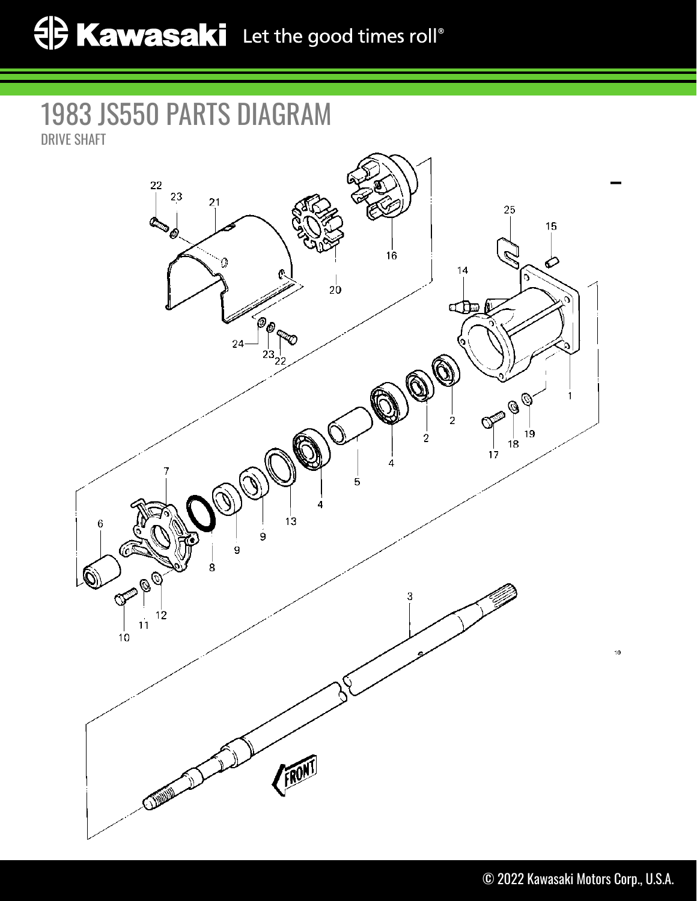## 1983 JS550 PARTS DIAGRAM DRIVE SHAFT